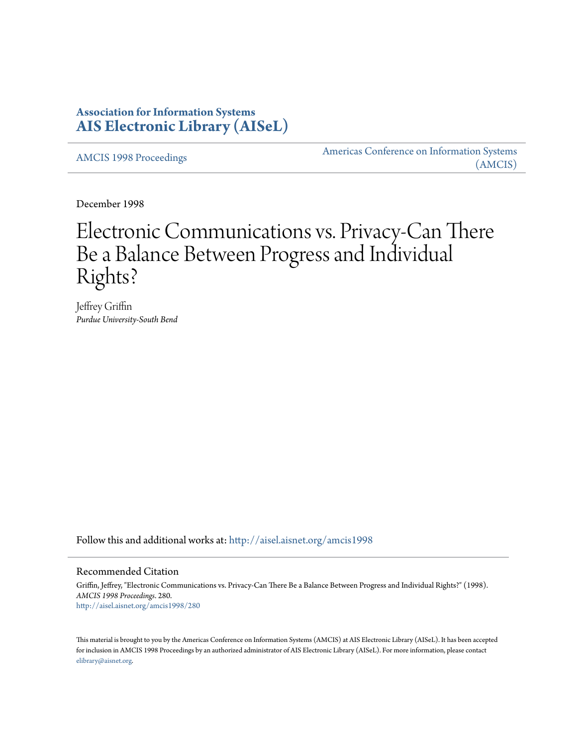## **Association for Information Systems [AIS Electronic Library \(AISeL\)](http://aisel.aisnet.org?utm_source=aisel.aisnet.org%2Famcis1998%2F280&utm_medium=PDF&utm_campaign=PDFCoverPages)**

[AMCIS 1998 Proceedings](http://aisel.aisnet.org/amcis1998?utm_source=aisel.aisnet.org%2Famcis1998%2F280&utm_medium=PDF&utm_campaign=PDFCoverPages)

[Americas Conference on Information Systems](http://aisel.aisnet.org/amcis?utm_source=aisel.aisnet.org%2Famcis1998%2F280&utm_medium=PDF&utm_campaign=PDFCoverPages) [\(AMCIS\)](http://aisel.aisnet.org/amcis?utm_source=aisel.aisnet.org%2Famcis1998%2F280&utm_medium=PDF&utm_campaign=PDFCoverPages)

December 1998

# Electronic Communications vs. Privacy-Can There Be a Balance Between Progress and Individual Rights?

Jeffrey Griffin *Purdue University-South Bend*

Follow this and additional works at: [http://aisel.aisnet.org/amcis1998](http://aisel.aisnet.org/amcis1998?utm_source=aisel.aisnet.org%2Famcis1998%2F280&utm_medium=PDF&utm_campaign=PDFCoverPages)

### Recommended Citation

Griffin, Jeffrey, "Electronic Communications vs. Privacy-Can There Be a Balance Between Progress and Individual Rights?" (1998). *AMCIS 1998 Proceedings*. 280. [http://aisel.aisnet.org/amcis1998/280](http://aisel.aisnet.org/amcis1998/280?utm_source=aisel.aisnet.org%2Famcis1998%2F280&utm_medium=PDF&utm_campaign=PDFCoverPages)

This material is brought to you by the Americas Conference on Information Systems (AMCIS) at AIS Electronic Library (AISeL). It has been accepted for inclusion in AMCIS 1998 Proceedings by an authorized administrator of AIS Electronic Library (AISeL). For more information, please contact [elibrary@aisnet.org.](mailto:elibrary@aisnet.org%3E)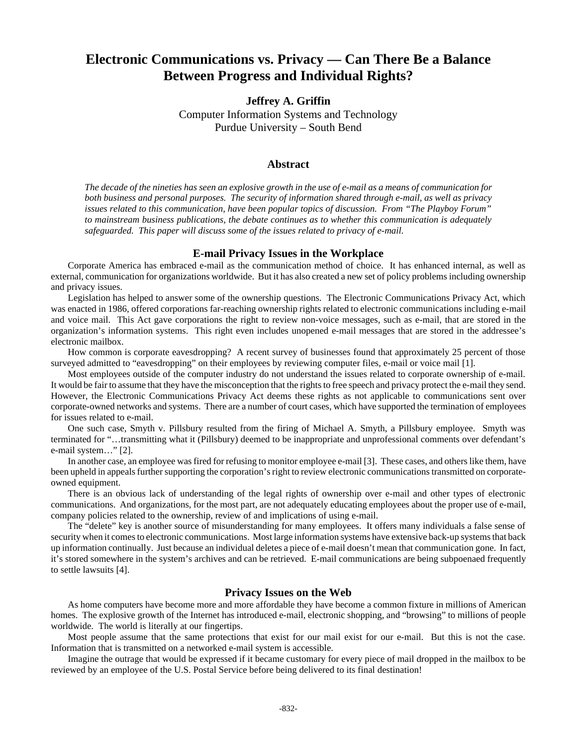## **Electronic Communications vs. Privacy — Can There Be a Balance Between Progress and Individual Rights?**

**Jeffrey A. Griffin**

Computer Information Systems and Technology Purdue University – South Bend

#### **Abstract**

*The decade of the nineties has seen an explosive growth in the use of e-mail as a means of communication for both business and personal purposes. The security of information shared through e-mail, as well as privacy issues related to this communication, have been popular topics of discussion. From "The Playboy Forum" to mainstream business publications, the debate continues as to whether this communication is adequately safeguarded. This paper will discuss some of the issues related to privacy of e-mail.*

#### **E-mail Privacy Issues in the Workplace**

Corporate America has embraced e-mail as the communication method of choice. It has enhanced internal, as well as external, communication for organizations worldwide. But it has also created a new set of policy problems including ownership and privacy issues.

Legislation has helped to answer some of the ownership questions. The Electronic Communications Privacy Act, which was enacted in 1986, offered corporations far-reaching ownership rights related to electronic communications including e-mail and voice mail. This Act gave corporations the right to review non-voice messages, such as e-mail, that are stored in the organization's information systems. This right even includes unopened e-mail messages that are stored in the addressee's electronic mailbox.

How common is corporate eavesdropping? A recent survey of businesses found that approximately 25 percent of those surveyed admitted to "eavesdropping" on their employees by reviewing computer files, e-mail or voice mail [1].

Most employees outside of the computer industry do not understand the issues related to corporate ownership of e-mail. It would be fair to assume that they have the misconception that the rights to free speech and privacy protect the e-mail they send. However, the Electronic Communications Privacy Act deems these rights as not applicable to communications sent over corporate-owned networks and systems. There are a number of court cases, which have supported the termination of employees for issues related to e-mail.

One such case, Smyth v. Pillsbury resulted from the firing of Michael A. Smyth, a Pillsbury employee. Smyth was terminated for "…transmitting what it (Pillsbury) deemed to be inappropriate and unprofessional comments over defendant's e-mail system…" [2].

In another case, an employee was fired for refusing to monitor employee e-mail [3]. These cases, and others like them, have been upheld in appeals further supporting the corporation's right to review electronic communications transmitted on corporateowned equipment.

There is an obvious lack of understanding of the legal rights of ownership over e-mail and other types of electronic communications. And organizations, for the most part, are not adequately educating employees about the proper use of e-mail, company policies related to the ownership, review of and implications of using e-mail.

The "delete" key is another source of misunderstanding for many employees. It offers many individuals a false sense of security when it comes to electronic communications. Most large information systems have extensive back-up systems that back up information continually. Just because an individual deletes a piece of e-mail doesn't mean that communication gone. In fact, it's stored somewhere in the system's archives and can be retrieved. E-mail communications are being subpoenaed frequently to settle lawsuits [4].

#### **Privacy Issues on the Web**

As home computers have become more and more affordable they have become a common fixture in millions of American homes. The explosive growth of the Internet has introduced e-mail, electronic shopping, and "browsing" to millions of people worldwide. The world is literally at our fingertips.

Most people assume that the same protections that exist for our mail exist for our e-mail. But this is not the case. Information that is transmitted on a networked e-mail system is accessible.

Imagine the outrage that would be expressed if it became customary for every piece of mail dropped in the mailbox to be reviewed by an employee of the U.S. Postal Service before being delivered to its final destination!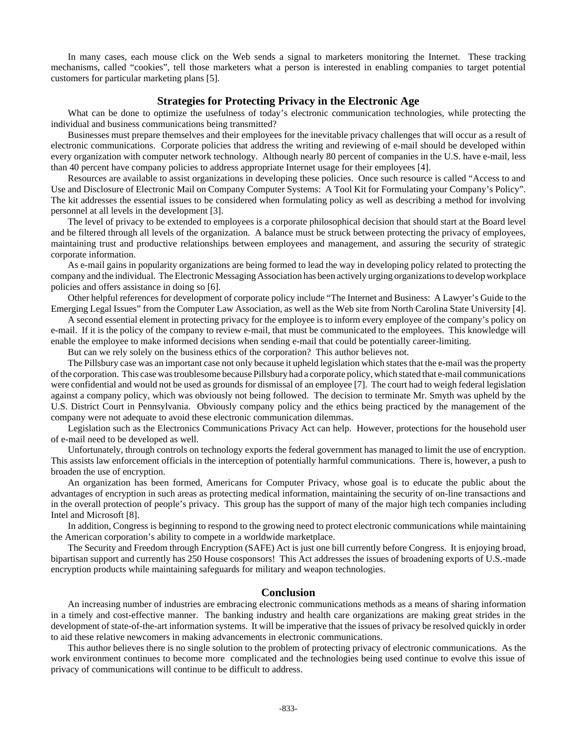In many cases, each mouse click on the Web sends a signal to marketers monitoring the Internet. These tracking mechanisms, called "cookies", tell those marketers what a person is interested in enabling companies to target potential customers for particular marketing plans [5].

#### **Strategies for Protecting Privacy in the Electronic Age**

What can be done to optimize the usefulness of today's electronic communication technologies, while protecting the individual and business communications being transmitted?

Businesses must prepare themselves and their employees for the inevitable privacy challenges that will occur as a result of electronic communications. Corporate policies that address the writing and reviewing of e-mail should be developed within every organization with computer network technology. Although nearly 80 percent of companies in the U.S. have e-mail, less than 40 percent have company policies to address appropriate Internet usage for their employees [4].

Resources are available to assist organizations in developing these policies. Once such resource is called "Access to and Use and Disclosure of Electronic Mail on Company Computer Systems: A Tool Kit for Formulating your Company's Policy". The kit addresses the essential issues to be considered when formulating policy as well as describing a method for involving personnel at all levels in the development [3].

The level of privacy to be extended to employees is a corporate philosophical decision that should start at the Board level and be filtered through all levels of the organization. A balance must be struck between protecting the privacy of employees, maintaining trust and productive relationships between employees and management, and assuring the security of strategic corporate information.

As e-mail gains in popularity organizations are being formed to lead the way in developing policy related to protecting the company and the individual. The Electronic Messaging Association has been actively urging organizations to develop workplace policies and offers assistance in doing so [6].

Other helpful references for development of corporate policy include "The Internet and Business: A Lawyer's Guide to the Emerging Legal Issues" from the Computer Law Association, as well as the Web site from North Carolina State University [4].

A second essential element in protecting privacy for the employee is to inform every employee of the company's policy on e-mail. If it is the policy of the company to review e-mail, that must be communicated to the employees. This knowledge will enable the employee to make informed decisions when sending e-mail that could be potentially career-limiting.

But can we rely solely on the business ethics of the corporation? This author believes not.

The Pillsbury case was an important case not only because it upheld legislation which states that the e-mail was the property of the corporation. This case was troublesome because Pillsbury had a corporate policy, which stated that e-mail communications were confidential and would not be used as grounds for dismissal of an employee [7]. The court had to weigh federal legislation against a company policy, which was obviously not being followed. The decision to terminate Mr. Smyth was upheld by the U.S. District Court in Pennsylvania. Obviously company policy and the ethics being practiced by the management of the company were not adequate to avoid these electronic communication dilemmas.

Legislation such as the Electronics Communications Privacy Act can help. However, protections for the household user of e-mail need to be developed as well.

Unfortunately, through controls on technology exports the federal government has managed to limit the use of encryption. This assists law enforcement officials in the interception of potentially harmful communications. There is, however, a push to broaden the use of encryption.

An organization has been formed, Americans for Computer Privacy, whose goal is to educate the public about the advantages of encryption in such areas as protecting medical information, maintaining the security of on-line transactions and in the overall protection of people's privacy. This group has the support of many of the major high tech companies including Intel and Microsoft [8].

In addition, Congress is beginning to respond to the growing need to protect electronic communications while maintaining the American corporation's ability to compete in a worldwide marketplace.

The Security and Freedom through Encryption (SAFE) Act is just one bill currently before Congress. It is enjoying broad, bipartisan support and currently has 250 House cosponsors! This Act addresses the issues of broadening exports of U.S.-made encryption products while maintaining safeguards for military and weapon technologies.

#### **Conclusion**

An increasing number of industries are embracing electronic communications methods as a means of sharing information in a timely and cost-effective manner. The banking industry and health care organizations are making great strides in the development of state-of-the-art information systems. It will be imperative that the issues of privacy be resolved quickly in order to aid these relative newcomers in making advancements in electronic communications.

This author believes there is no single solution to the problem of protecting privacy of electronic communications. As the work environment continues to become more complicated and the technologies being used continue to evolve this issue of privacy of communications will continue to be difficult to address.